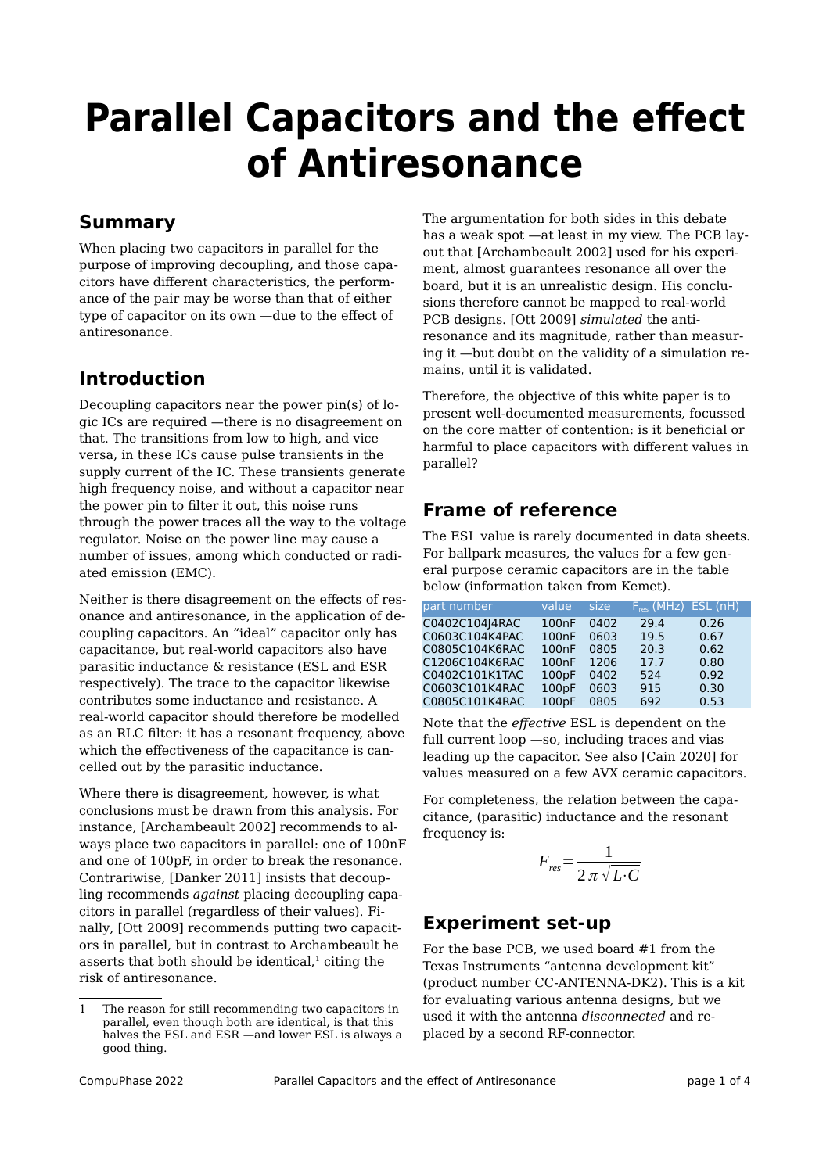# **Parallel Capacitors and the effect of Antiresonance**

## **Summary**

When placing two capacitors in parallel for the purpose of improving decoupling, and those capacitors have different characteristics, the performance of the pair may be worse than that of either type of capacitor on its own —due to the effect of antiresonance.

## **Introduction**

Decoupling capacitors near the power pin(s) of logic ICs are required —there is no disagreement on that. The transitions from low to high, and vice versa, in these ICs cause pulse transients in the supply current of the IC. These transients generate high frequency noise, and without a capacitor near the power pin to filter it out, this noise runs through the power traces all the way to the voltage regulator. Noise on the power line may cause a number of issues, among which conducted or radiated emission (EMC).

Neither is there disagreement on the effects of resonance and antiresonance, in the application of decoupling capacitors. An "ideal" capacitor only has capacitance, but real-world capacitors also have parasitic inductance & resistance (ESL and ESR respectively). The trace to the capacitor likewise contributes some inductance and resistance. A real-world capacitor should therefore be modelled as an RLC filter: it has a resonant frequency, above which the effectiveness of the capacitance is cancelled out by the parasitic inductance.

Where there is disagreement, however, is what conclusions must be drawn from this analysis. For instance, [Archambeault 2002] recommends to always place two capacitors in parallel: one of 100nF and one of 100pF, in order to break the resonance. Contrariwise, [Danker 2011] insists that decoupling recommends *against* placing decoupling capacitors in parallel (regardless of their values). Finally, [Ott 2009] recommends putting two capacitors in parallel, but in contrast to Archambeault he asserts that both should be identical, $1$  citing the risk of antiresonance.

The argumentation for both sides in this debate has a weak spot —at least in my view. The PCB layout that [Archambeault 2002] used for his experiment, almost guarantees resonance all over the board, but it is an unrealistic design. His conclusions therefore cannot be mapped to real-world PCB designs. [Ott 2009] *simulated* the antiresonance and its magnitude, rather than measuring it —but doubt on the validity of a simulation remains, until it is validated.

Therefore, the objective of this white paper is to present well-documented measurements, focussed on the core matter of contention: is it beneficial or harmful to place capacitors with different values in parallel?

## **Frame of reference**

The ESL value is rarely documented in data sheets. For ballpark measures, the values for a few general purpose ceramic capacitors are in the table below (information taken from Kemet).

| part number    | value              | size | $F_{res}$ (MHz) ESL (nH) |      |
|----------------|--------------------|------|--------------------------|------|
| C0402C104J4RAC | 100nF              | 0402 | 29.4                     | 0.26 |
| C0603C104K4PAC | 100nF              | 0603 | 19.5                     | 0.67 |
| C0805C104K6RAC | 100nF              | 0805 | 20.3                     | 0.62 |
| C1206C104K6RAC | 100nF              | 1206 | 17.7                     | 0.80 |
| C0402C101K1TAC | 100pF              | 0402 | 524                      | 0.92 |
| C0603C101K4RAC | 100pF              | 0603 | 915                      | 0.30 |
| C0805C101K4RAC | 100 <sub>p</sub> F | 0805 | 692                      | 0.53 |

Note that the *effective* ESL is dependent on the full current loop —so, including traces and vias leading up the capacitor. See also [Cain 2020] for values measured on a few AVX ceramic capacitors.

For completeness, the relation between the capacitance, (parasitic) inductance and the resonant frequency is:

$$
F_{res} = \frac{1}{2 \pi \sqrt{L \cdot C}}
$$

## **Experiment set-up**

<span id="page-0-0"></span>For the base PCB, we used board #1 from the Texas Instruments "antenna development kit" (product number CC-ANTENNA-DK2). This is a kit for evaluating various antenna designs, but we used it with the antenna *disconnected* and replaced by a second RF-connector.

<span id="page-0-1"></span>[<sup>1</sup>](#page-0-0) The reason for still recommending two capacitors in parallel, even though both are identical, is that this halves the ESL and ESR —and lower ESL is always a good thing.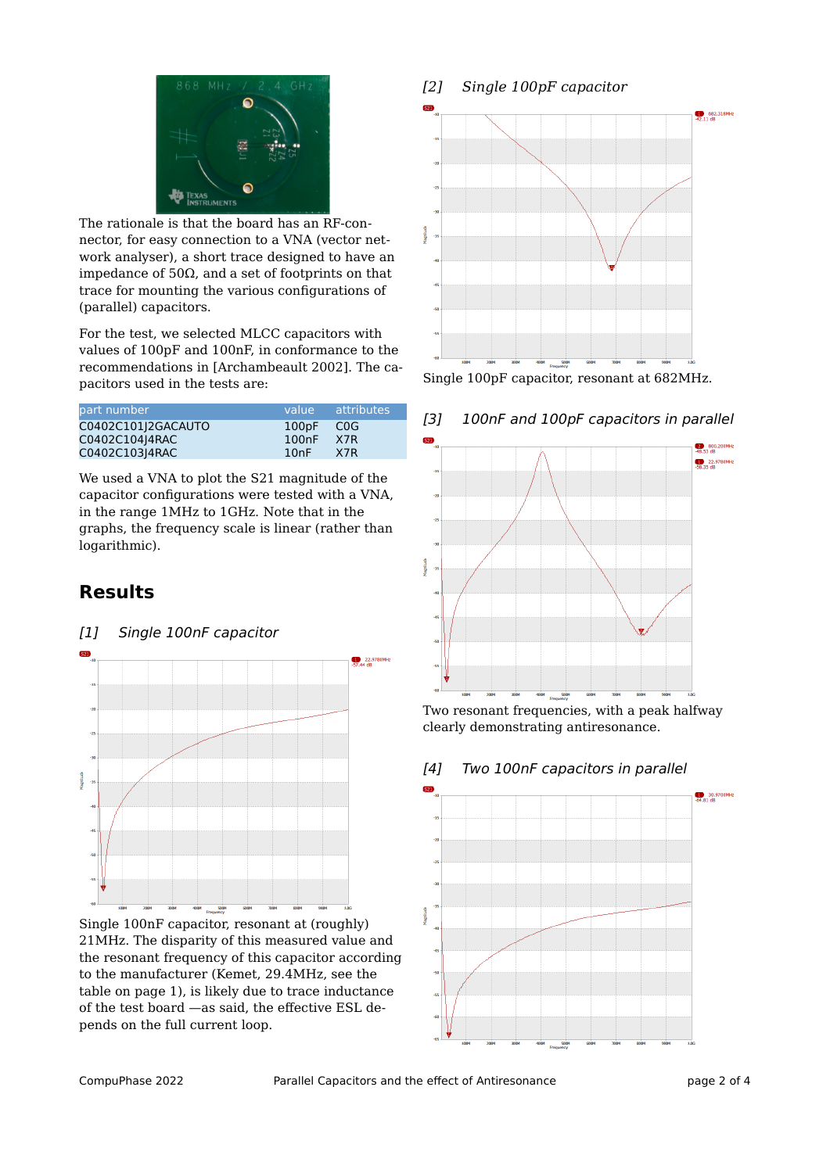

The rationale is that the board has an RF-connector, for easy connection to a VNA (vector network analyser), a short trace designed to have an impedance of 50Ω, and a set of footprints on that trace for mounting the various configurations of (parallel) capacitors.

For the test, we selected MLCC capacitors with values of 100pF and 100nF, in conformance to the recommendations in [Archambeault 2002]. The capacitors used in the tests are:

| lpart number       |           | value attributes |
|--------------------|-----------|------------------|
| C0402C101J2GACAUTO | 100pF COG |                  |
| C0402C104J4RAC     | 100nF     | X7R              |
| C0402C103J4RAC     | 10nF      | X7R              |

We used a VNA to plot the S21 magnitude of the capacitor configurations were tested with a VNA, in the range 1MHz to 1GHz. Note that in the graphs, the frequency scale is linear (rather than logarithmic).

# **Results**

[1] Single 100nF capacitor



Single 100nF capacitor, resonant at (roughly) 21MHz. The disparity of this measured value and the resonant frequency of this capacitor according to the manufacturer (Kemet, 29.4MHz, see the table on page 1), is likely due to trace inductance of the test board —as said, the effective ESL depends on the full current loop.

#### *[2] Single 100pF capacitor*



Single 100pF capacitor, resonant at 682MHz.





Two resonant frequencies, with a peak halfway clearly demonstrating antiresonance.



#### [4] Two 100nF capacitors in parallel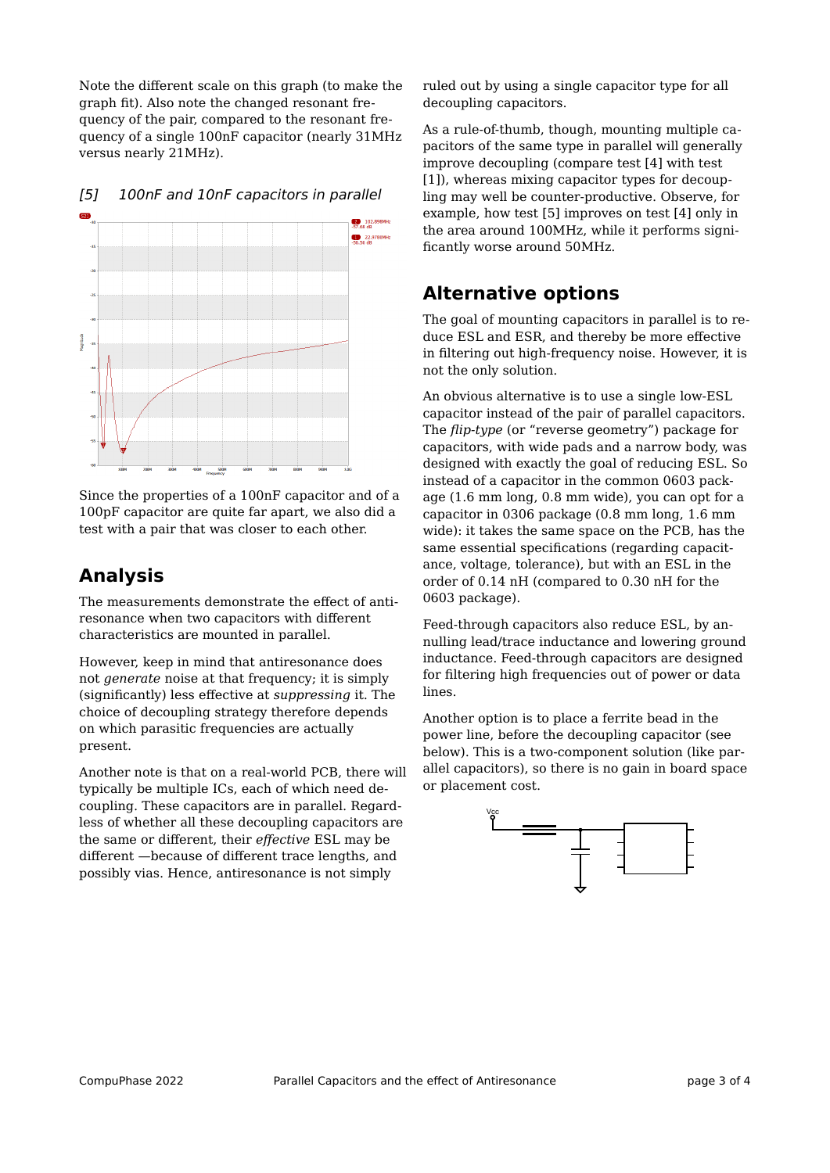Note the different scale on this graph (to make the graph fit). Also note the changed resonant frequency of the pair, compared to the resonant frequency of a single 100nF capacitor (nearly 31MHz versus nearly 21MHz).



[5] 100nF and 10nF capacitors in parallel

Since the properties of a 100nF capacitor and of a 100pF capacitor are quite far apart, we also did a test with a pair that was closer to each other.

## **Analysis**

The measurements demonstrate the effect of antiresonance when two capacitors with different characteristics are mounted in parallel.

However, keep in mind that antiresonance does not *generate* noise at that frequency; it is simply (significantly) less effective at *suppressing* it. The choice of decoupling strategy therefore depends on which parasitic frequencies are actually present.

Another note is that on a real-world PCB, there will typically be multiple ICs, each of which need decoupling. These capacitors are in parallel. Regardless of whether all these decoupling capacitors are the same or different, their *effective* ESL may be different —because of different trace lengths, and possibly vias. Hence, antiresonance is not simply

ruled out by using a single capacitor type for all decoupling capacitors.

As a rule-of-thumb, though, mounting multiple capacitors of the same type in parallel will generally improve decoupling (compare test [4] with test [1]), whereas mixing capacitor types for decoupling may well be counter-productive. Observe, for example, how test [5] improves on test [4] only in the area around 100MHz, while it performs significantly worse around 50MHz.

## **Alternative options**

The goal of mounting capacitors in parallel is to reduce ESL and ESR, and thereby be more effective in filtering out high-frequency noise. However, it is not the only solution.

An obvious alternative is to use a single low-ESL capacitor instead of the pair of parallel capacitors. The *flip-type* (or "reverse geometry") package for capacitors, with wide pads and a narrow body, was designed with exactly the goal of reducing ESL. So instead of a capacitor in the common 0603 package (1.6 mm long, 0.8 mm wide), you can opt for a capacitor in 0306 package (0.8 mm long, 1.6 mm wide): it takes the same space on the PCB, has the same essential specifications (regarding capacitance, voltage, tolerance), but with an ESL in the order of 0.14 nH (compared to 0.30 nH for the 0603 package).

Feed-through capacitors also reduce ESL, by annulling lead/trace inductance and lowering ground inductance. Feed-through capacitors are designed for filtering high frequencies out of power or data lines.

Another option is to place a ferrite bead in the power line, before the decoupling capacitor (see below). This is a two-component solution (like parallel capacitors), so there is no gain in board space or placement cost.